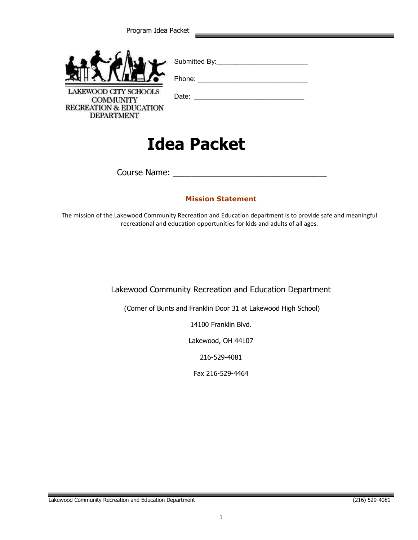|                                                                                                     | Submitted By: |
|-----------------------------------------------------------------------------------------------------|---------------|
|                                                                                                     | Phone:        |
| LAKEWOOD CITY SCHOOLS<br><b>COMMUNITY</b><br><b>RECREATION &amp; EDUCATION</b><br><b>DEPARTMENT</b> | Date:         |

# Idea Packet

Course Name: \_\_\_\_\_\_\_\_\_\_\_\_\_\_\_\_\_\_\_\_\_\_\_\_\_\_\_\_\_\_\_\_\_

#### Mission Statement

The mission of the Lakewood Community Recreation and Education department is to provide safe and meaningful recreational and education opportunities for kids and adults of all ages.

Lakewood Community Recreation and Education Department

(Corner of Bunts and Franklin Door 31 at Lakewood High School)

14100 Franklin Blvd.

Lakewood, OH 44107

216-529-4081

Fax 216-529-4464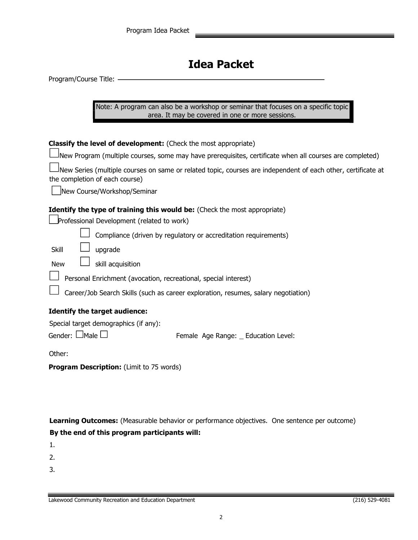## Idea Packet

| Program/Course Title: -                                                                                                                                                                                                                                                                                                                                                                                    |
|------------------------------------------------------------------------------------------------------------------------------------------------------------------------------------------------------------------------------------------------------------------------------------------------------------------------------------------------------------------------------------------------------------|
| Note: A program can also be a workshop or seminar that focuses on a specific topic<br>area. It may be covered in one or more sessions.                                                                                                                                                                                                                                                                     |
| <b>Classify the level of development:</b> (Check the most appropriate)                                                                                                                                                                                                                                                                                                                                     |
| New Program (multiple courses, some may have prerequisites, certificate when all courses are completed)                                                                                                                                                                                                                                                                                                    |
| New Series (multiple courses on same or related topic, courses are independent of each other, certificate at<br>the completion of each course)                                                                                                                                                                                                                                                             |
| New Course/Workshop/Seminar                                                                                                                                                                                                                                                                                                                                                                                |
| Identify the type of training this would be: (Check the most appropriate)<br>Professional Development (related to work)<br>Compliance (driven by regulatory or accreditation requirements)<br>Skill<br>upgrade<br>skill acquisition<br><b>New</b><br>Personal Enrichment (avocation, recreational, special interest)<br>Career/Job Search Skills (such as career exploration, resumes, salary negotiation) |
| <b>Identify the target audience:</b>                                                                                                                                                                                                                                                                                                                                                                       |
| Special target demographics (if any):                                                                                                                                                                                                                                                                                                                                                                      |
| Gender: $\Box$ Male $\Box$<br>Female Age Range: _ Education Level:                                                                                                                                                                                                                                                                                                                                         |
| Other:                                                                                                                                                                                                                                                                                                                                                                                                     |
| Program Description: (Limit to 75 words)                                                                                                                                                                                                                                                                                                                                                                   |

Learning Outcomes: (Measurable behavior or performance objectives. One sentence per outcome) By the end of this program participants will:

1.

2.

3.

Lakewood Community Recreation and Education Department (216) 529-4081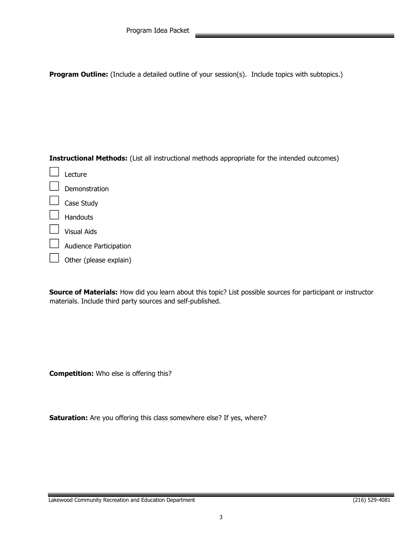Program Outline: (Include a detailed outline of your session(s). Include topics with subtopics.)

Instructional Methods: (List all instructional methods appropriate for the intended outcomes)

 $\Box$  Lecture  $\perp$  Demonstration Case Study Handouts Visual Aids Audience Participation Other (please explain)

Source of Materials: How did you learn about this topic? List possible sources for participant or instructor materials. Include third party sources and self-published.

Competition: Who else is offering this?

Saturation: Are you offering this class somewhere else? If yes, where?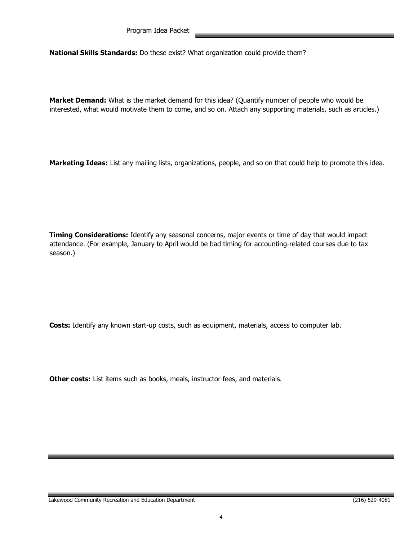National Skills Standards: Do these exist? What organization could provide them?

Market Demand: What is the market demand for this idea? (Quantify number of people who would be interested, what would motivate them to come, and so on. Attach any supporting materials, such as articles.)

Marketing Ideas: List any mailing lists, organizations, people, and so on that could help to promote this idea.

**Timing Considerations:** Identify any seasonal concerns, major events or time of day that would impact attendance. (For example, January to April would be bad timing for accounting-related courses due to tax season.)

Costs: Identify any known start-up costs, such as equipment, materials, access to computer lab.

Other costs: List items such as books, meals, instructor fees, and materials.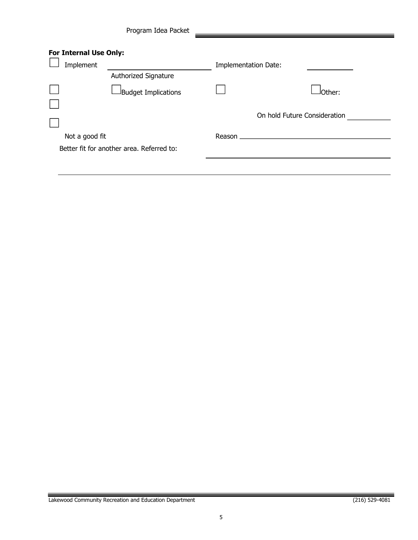| For Internal Use Only: |                                           |                             |                              |
|------------------------|-------------------------------------------|-----------------------------|------------------------------|
| Implement              |                                           | <b>Implementation Date:</b> |                              |
|                        | Authorized Signature                      |                             |                              |
|                        | Budget Implications                       |                             | JOther:                      |
|                        |                                           |                             |                              |
|                        |                                           |                             | On hold Future Consideration |
|                        |                                           |                             |                              |
| Not a good fit         |                                           | Reason                      |                              |
|                        | Better fit for another area. Referred to: |                             |                              |
|                        |                                           |                             |                              |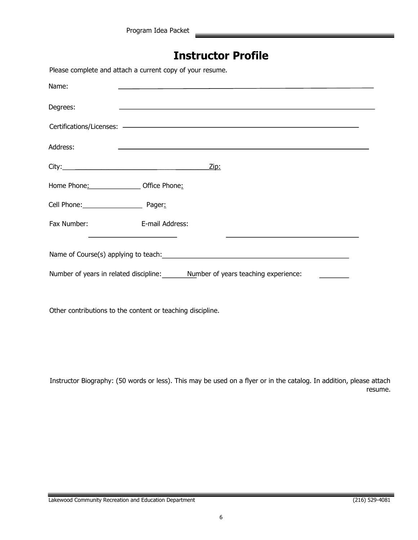## Instructor Profile

|                                                                             | Please complete and attach a current copy of your resume.                                                                              |      |                                                                                                                                                                                                                                      |  |  |
|-----------------------------------------------------------------------------|----------------------------------------------------------------------------------------------------------------------------------------|------|--------------------------------------------------------------------------------------------------------------------------------------------------------------------------------------------------------------------------------------|--|--|
| Name:                                                                       | <u> 1989 - Johann Stoff, amerikansk politiker (d. 1989)</u>                                                                            |      |                                                                                                                                                                                                                                      |  |  |
| Degrees:                                                                    | <u> 1989 - Johann Harry Harry Harry Harry Harry Harry Harry Harry Harry Harry Harry Harry Harry Harry Harry Harry H</u>                |      |                                                                                                                                                                                                                                      |  |  |
|                                                                             |                                                                                                                                        |      |                                                                                                                                                                                                                                      |  |  |
| Address:                                                                    | <u> 1990 - Johann John Stone, market fan it ferstjer fan de fan it ferstjer fan it ferstjer fan it ferstjer fan i</u>                  |      |                                                                                                                                                                                                                                      |  |  |
|                                                                             |                                                                                                                                        | Zip: |                                                                                                                                                                                                                                      |  |  |
| Home Phone: Office Phone:                                                   |                                                                                                                                        |      |                                                                                                                                                                                                                                      |  |  |
|                                                                             |                                                                                                                                        |      |                                                                                                                                                                                                                                      |  |  |
| Fax Number:                                                                 | E-mail Address:                                                                                                                        |      |                                                                                                                                                                                                                                      |  |  |
|                                                                             | <u> 1986 - Andrea Andrew Maria (b. 1986)</u><br>Name of Course(s) applying to teach: Manual Community of Course (s) applying to teach: |      | <u>state and the state of the state and the state of the state of the state of the state of the state of the state of the state of the state of the state of the state of the state of the state of the state of the state of th</u> |  |  |
| Number of years in related discipline: Number of years teaching experience: |                                                                                                                                        |      |                                                                                                                                                                                                                                      |  |  |
|                                                                             |                                                                                                                                        |      |                                                                                                                                                                                                                                      |  |  |
|                                                                             |                                                                                                                                        |      |                                                                                                                                                                                                                                      |  |  |

Other contributions to the content or teaching discipline.

Instructor Biography: (50 words or less). This may be used on a flyer or in the catalog. In addition, please attach resume.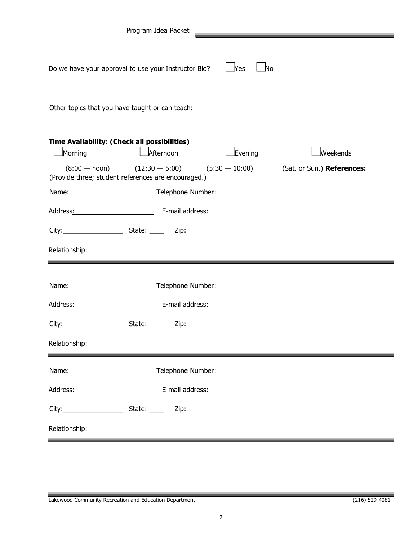| Program Idea Packet                                                                                                                 |
|-------------------------------------------------------------------------------------------------------------------------------------|
| _No<br>Do we have your approval to use your Instructor Bio?<br>$\sf Yes$                                                            |
| Other topics that you have taught or can teach:                                                                                     |
| Time Availability: (Check all possibilities)<br>Weekends<br>Morning<br>Evening<br>Afternoon                                         |
| $(8:00 -$ noon) $(12:30 - 5:00)$ $(5:30 - 10:00)$ (Sat. or Sun.) References:<br>(Provide three; student references are encouraged.) |
| Name: Name: Name: Name: Number:                                                                                                     |
| Address: E-mail address:                                                                                                            |
|                                                                                                                                     |
| Relationship:                                                                                                                       |
|                                                                                                                                     |
| Telephone Number:                                                                                                                   |
| Address: E-mail address:                                                                                                            |
| City:<br>Zip:<br>State:                                                                                                             |
| Relationship:                                                                                                                       |
| Telephone Number:                                                                                                                   |
| Address: E-mail address:                                                                                                            |
| Zip:                                                                                                                                |
| Relationship:                                                                                                                       |

Lakewood Community Recreation and Education Department (216) 529-4081